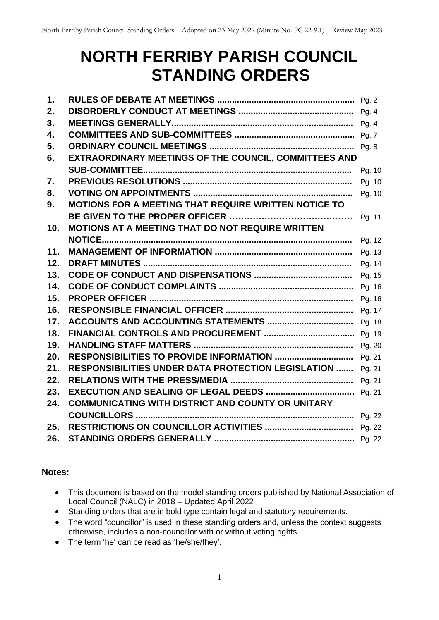# **NORTH FERRIBY PARISH COUNCIL STANDING ORDERS**

| 1.              |                                                            |        |
|-----------------|------------------------------------------------------------|--------|
| 2.              |                                                            |        |
| 3.              |                                                            |        |
| 4.              |                                                            |        |
| 5.              |                                                            |        |
| 6.              | EXTRAORDINARY MEETINGS OF THE COUNCIL, COMMITTEES AND      |        |
|                 |                                                            | Pg. 10 |
| 7.              |                                                            | Pg. 10 |
| 8.              |                                                            | Pg. 10 |
| 9.              | MOTIONS FOR A MEETING THAT REQUIRE WRITTEN NOTICE TO       |        |
|                 |                                                            | Pg. 11 |
| 10 <sub>1</sub> | MOTIONS AT A MEETING THAT DO NOT REQUIRE WRITTEN           |        |
|                 |                                                            | Pg. 12 |
| 11.             |                                                            | Pg. 13 |
| 12.             |                                                            | Pg. 14 |
| 13.             |                                                            | Pg. 15 |
| 14.             |                                                            |        |
| 15.             |                                                            |        |
| 16.             |                                                            | Pg. 17 |
| 17.             |                                                            |        |
| 18.             |                                                            |        |
| 19.             |                                                            |        |
| 20.             |                                                            | Pg. 21 |
| 21.             | RESPONSIBILITIES UNDER DATA PROTECTION LEGISLATION  Pg. 21 |        |
| 22.             |                                                            |        |
| 23.             |                                                            |        |
| 24.             | COMMUNICATING WITH DISTRICT AND COUNTY OR UNITARY          |        |
|                 |                                                            |        |
| 25.             |                                                            |        |
| 26.             |                                                            |        |

## **Notes:**

- This document is based on the model standing orders published by National Association of Local Council (NALC) in 2018 – Updated April 2022
- Standing orders that are in bold type contain legal and statutory requirements.
- The word "councillor" is used in these standing orders and, unless the context suggests otherwise, includes a non-councillor with or without voting rights.
- The term 'he' can be read as 'he/she/they'.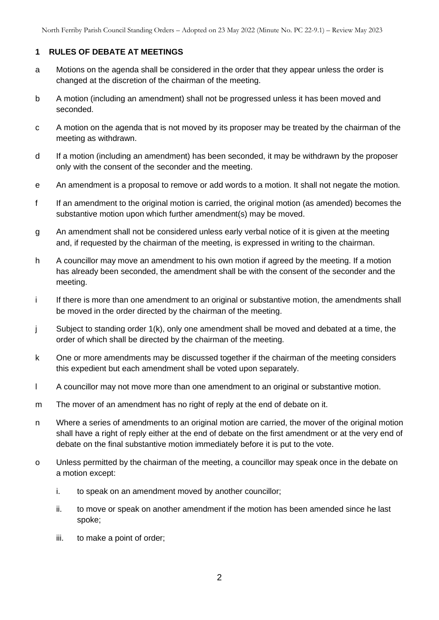## **1 RULES OF DEBATE AT MEETINGS**

- a Motions on the agenda shall be considered in the order that they appear unless the order is changed at the discretion of the chairman of the meeting.
- b A motion (including an amendment) shall not be progressed unless it has been moved and seconded.
- c A motion on the agenda that is not moved by its proposer may be treated by the chairman of the meeting as withdrawn.
- d If a motion (including an amendment) has been seconded, it may be withdrawn by the proposer only with the consent of the seconder and the meeting.
- e An amendment is a proposal to remove or add words to a motion. It shall not negate the motion.
- f If an amendment to the original motion is carried, the original motion (as amended) becomes the substantive motion upon which further amendment(s) may be moved.
- g An amendment shall not be considered unless early verbal notice of it is given at the meeting and, if requested by the chairman of the meeting, is expressed in writing to the chairman.
- h A councillor may move an amendment to his own motion if agreed by the meeting. If a motion has already been seconded, the amendment shall be with the consent of the seconder and the meeting.
- i If there is more than one amendment to an original or substantive motion, the amendments shall be moved in the order directed by the chairman of the meeting.
- j Subject to standing order 1(k), only one amendment shall be moved and debated at a time, the order of which shall be directed by the chairman of the meeting.
- k One or more amendments may be discussed together if the chairman of the meeting considers this expedient but each amendment shall be voted upon separately.
- l A councillor may not move more than one amendment to an original or substantive motion.
- m The mover of an amendment has no right of reply at the end of debate on it.
- n Where a series of amendments to an original motion are carried, the mover of the original motion shall have a right of reply either at the end of debate on the first amendment or at the very end of debate on the final substantive motion immediately before it is put to the vote.
- o Unless permitted by the chairman of the meeting, a councillor may speak once in the debate on a motion except:
	- i. to speak on an amendment moved by another councillor;
	- ii. to move or speak on another amendment if the motion has been amended since he last spoke;
	- iii. to make a point of order;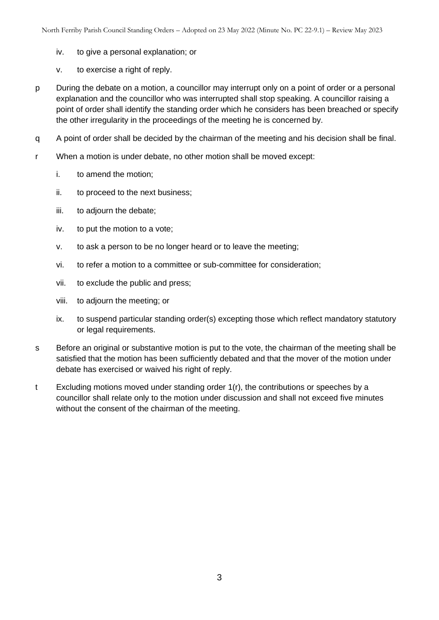- iv. to give a personal explanation; or
- v. to exercise a right of reply.
- p During the debate on a motion, a councillor may interrupt only on a point of order or a personal explanation and the councillor who was interrupted shall stop speaking. A councillor raising a point of order shall identify the standing order which he considers has been breached or specify the other irregularity in the proceedings of the meeting he is concerned by.
- q A point of order shall be decided by the chairman of the meeting and his decision shall be final.
- r When a motion is under debate, no other motion shall be moved except:
	- i. to amend the motion;
	- ii. to proceed to the next business;
	- iii. to adjourn the debate;
	- iv. to put the motion to a vote;
	- v. to ask a person to be no longer heard or to leave the meeting;
	- vi. to refer a motion to a committee or sub-committee for consideration;
	- vii. to exclude the public and press;
	- viii. to adjourn the meeting; or
	- ix. to suspend particular standing order(s) excepting those which reflect mandatory statutory or legal requirements.
- s Before an original or substantive motion is put to the vote, the chairman of the meeting shall be satisfied that the motion has been sufficiently debated and that the mover of the motion under debate has exercised or waived his right of reply.
- t Excluding motions moved under standing order 1(r), the contributions or speeches by a councillor shall relate only to the motion under discussion and shall not exceed five minutes without the consent of the chairman of the meeting.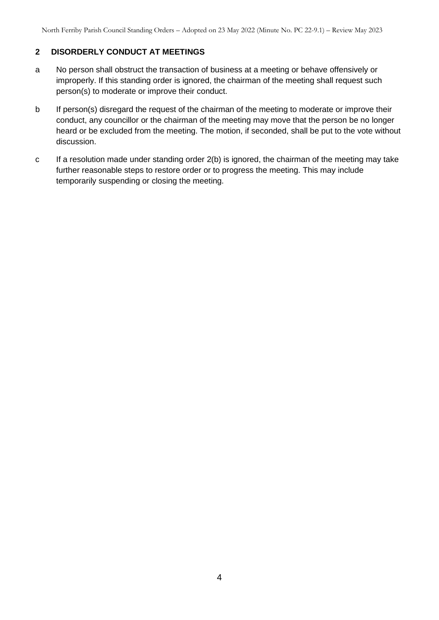## **2 DISORDERLY CONDUCT AT MEETINGS**

- a No person shall obstruct the transaction of business at a meeting or behave offensively or improperly. If this standing order is ignored, the chairman of the meeting shall request such person(s) to moderate or improve their conduct.
- b If person(s) disregard the request of the chairman of the meeting to moderate or improve their conduct, any councillor or the chairman of the meeting may move that the person be no longer heard or be excluded from the meeting. The motion, if seconded, shall be put to the vote without discussion.
- c If a resolution made under standing order 2(b) is ignored, the chairman of the meeting may take further reasonable steps to restore order or to progress the meeting. This may include temporarily suspending or closing the meeting.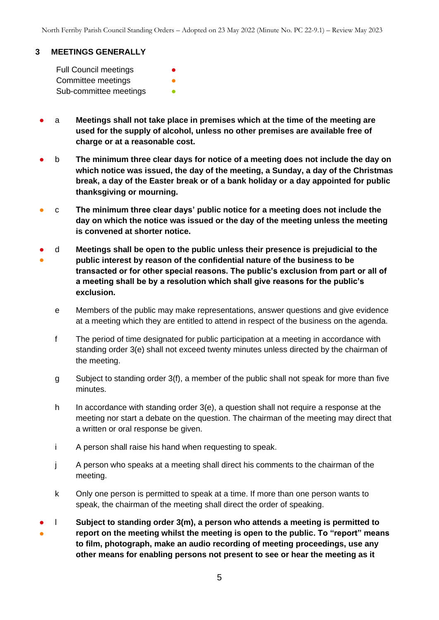#### **3 MEETINGS GENERALLY**

Full Council meetings **●** Committee meetings Sub-committee meetings **•** 

- a **Meetings shall not take place in premises which at the time of the meeting are used for the supply of alcohol, unless no other premises are available free of charge or at a reasonable cost.**
- b **The minimum three clear days for notice of a meeting does not include the day on which notice was issued, the day of the meeting, a Sunday, a day of the Christmas break, a day of the Easter break or of a bank holiday or a day appointed for public thanksgiving or mourning.**
- c **The minimum three clear days' public notice for a meeting does not include the day on which the notice was issued or the day of the meeting unless the meeting is convened at shorter notice.**
- ● d **Meetings shall be open to the public unless their presence is prejudicial to the public interest by reason of the confidential nature of the business to be transacted or for other special reasons. The public's exclusion from part or all of a meeting shall be by a resolution which shall give reasons for the public's exclusion.**
	- e Members of the public may make representations, answer questions and give evidence at a meeting which they are entitled to attend in respect of the business on the agenda.
	- f The period of time designated for public participation at a meeting in accordance with standing order 3(e) shall not exceed twenty minutes unless directed by the chairman of the meeting.
	- g Subject to standing order 3(f), a member of the public shall not speak for more than five minutes.
	- h In accordance with standing order 3(e), a question shall not require a response at the meeting nor start a debate on the question. The chairman of the meeting may direct that a written or oral response be given.
	- i A person shall raise his hand when requesting to speak.
	- j A person who speaks at a meeting shall direct his comments to the chairman of the meeting.
	- k Only one person is permitted to speak at a time. If more than one person wants to speak, the chairman of the meeting shall direct the order of speaking.
- ● l **Subject to standing order 3(m), a person who attends a meeting is permitted to report on the meeting whilst the meeting is open to the public. To "report" means to film, photograph, make an audio recording of meeting proceedings, use any other means for enabling persons not present to see or hear the meeting as it**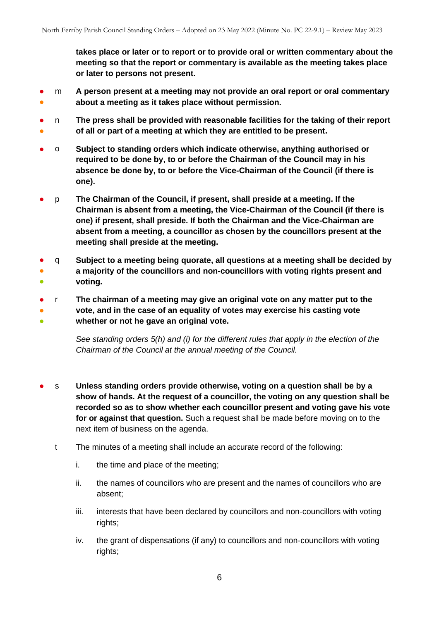**takes place or later or to report or to provide oral or written commentary about the meeting so that the report or commentary is available as the meeting takes place or later to persons not present.**

- ● m **A person present at a meeting may not provide an oral report or oral commentary about a meeting as it takes place without permission.**
- ● n **The press shall be provided with reasonable facilities for the taking of their report of all or part of a meeting at which they are entitled to be present.**
- o **Subject to standing orders which indicate otherwise, anything authorised or required to be done by, to or before the Chairman of the Council may in his absence be done by, to or before the Vice-Chairman of the Council (if there is one).**
- p **The Chairman of the Council, if present, shall preside at a meeting. If the Chairman is absent from a meeting, the Vice-Chairman of the Council (if there is one) if present, shall preside. If both the Chairman and the Vice-Chairman are absent from a meeting, a councillor as chosen by the councillors present at the meeting shall preside at the meeting.**
- ●  $\bullet$ q **Subject to a meeting being quorate, all questions at a meeting shall be decided by a majority of the councillors and non-councillors with voting rights present and voting.**
- ● ● r **The chairman of a meeting may give an original vote on any matter put to the vote, and in the case of an equality of votes may exercise his casting vote whether or not he gave an original vote.**

*See standing orders 5(h) and (i) for the different rules that apply in the election of the Chairman of the Council at the annual meeting of the Council.*

- s **Unless standing orders provide otherwise, voting on a question shall be by a show of hands. At the request of a councillor, the voting on any question shall be recorded so as to show whether each councillor present and voting gave his vote for or against that question.** Such a request shall be made before moving on to the next item of business on the agenda.
	- t The minutes of a meeting shall include an accurate record of the following:
		- i. the time and place of the meeting;
		- ii. the names of councillors who are present and the names of councillors who are absent;
		- iii. interests that have been declared by councillors and non-councillors with voting rights;
		- iv. the grant of dispensations (if any) to councillors and non-councillors with voting rights;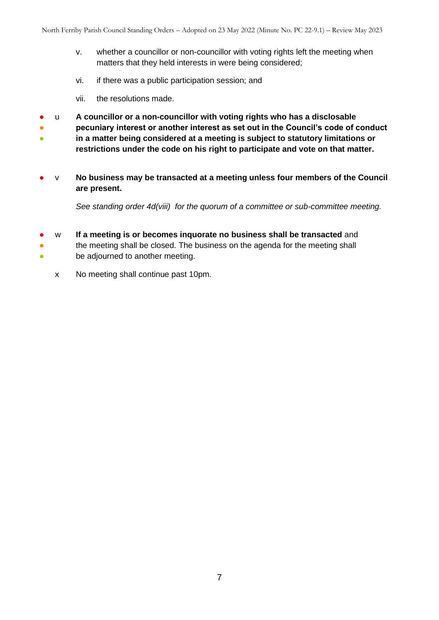- v. whether a councillor or non-councillor with voting rights left the meeting when matters that they held interests in were being considered;
- vi. if there was a public participation session; and
- vii. the resolutions made.
- u **A councillor or a non-councillor with voting rights who has a disclosable**
- **pecuniary interest or another interest as set out in the Council's code of conduct**
- **in a matter being considered at a meeting is subject to statutory limitations or restrictions under the code on his right to participate and vote on that matter.**
- v **No business may be transacted at a meeting unless four members of the Council are present.**

*See standing order 4d(viii) for the quorum of a committee or sub-committee meeting.* 

- w **If a meeting is or becomes inquorate no business shall be transacted** and
- ● the meeting shall be closed. The business on the agenda for the meeting shall be adjourned to another meeting.
	- x No meeting shall continue past 10pm.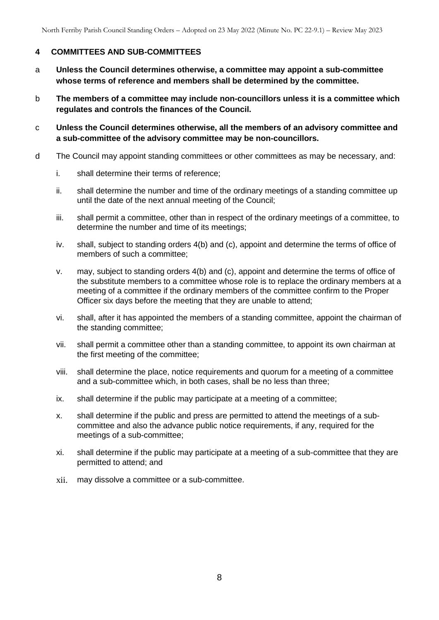## **4 COMMITTEES AND SUB-COMMITTEES**

- a **Unless the Council determines otherwise, a committee may appoint a sub-committee whose terms of reference and members shall be determined by the committee.**
- b **The members of a committee may include non-councillors unless it is a committee which regulates and controls the finances of the Council.**
- c **Unless the Council determines otherwise, all the members of an advisory committee and a sub-committee of the advisory committee may be non-councillors.**
- d The Council may appoint standing committees or other committees as may be necessary, and:
	- i. shall determine their terms of reference;
	- ii. shall determine the number and time of the ordinary meetings of a standing committee up until the date of the next annual meeting of the Council;
	- iii. shall permit a committee, other than in respect of the ordinary meetings of a committee, to determine the number and time of its meetings;
	- iv. shall, subject to standing orders 4(b) and (c), appoint and determine the terms of office of members of such a committee;
	- v. may, subject to standing orders 4(b) and (c), appoint and determine the terms of office of the substitute members to a committee whose role is to replace the ordinary members at a meeting of a committee if the ordinary members of the committee confirm to the Proper Officer six days before the meeting that they are unable to attend;
	- vi. shall, after it has appointed the members of a standing committee, appoint the chairman of the standing committee;
	- vii. shall permit a committee other than a standing committee, to appoint its own chairman at the first meeting of the committee;
	- viii. shall determine the place, notice requirements and quorum for a meeting of a committee and a sub-committee which, in both cases, shall be no less than three;
	- ix. shall determine if the public may participate at a meeting of a committee;
	- x. shall determine if the public and press are permitted to attend the meetings of a subcommittee and also the advance public notice requirements, if any, required for the meetings of a sub-committee;
	- xi. shall determine if the public may participate at a meeting of a sub-committee that they are permitted to attend; and
	- xii. may dissolve a committee or a sub-committee.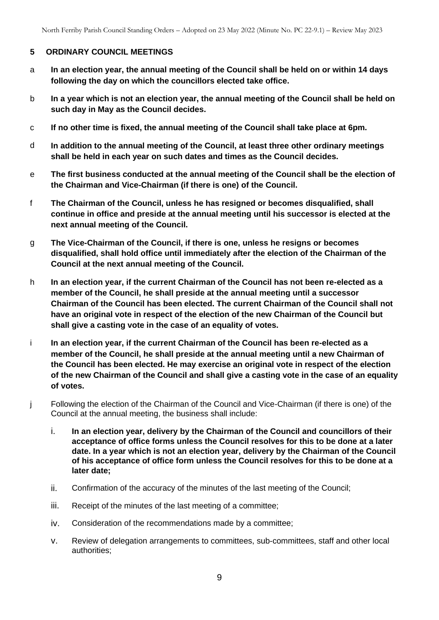#### **5 ORDINARY COUNCIL MEETINGS**

- a **In an election year, the annual meeting of the Council shall be held on or within 14 days following the day on which the councillors elected take office.**
- b **In a year which is not an election year, the annual meeting of the Council shall be held on such day in May as the Council decides.**
- c **If no other time is fixed, the annual meeting of the Council shall take place at 6pm.**
- d **In addition to the annual meeting of the Council, at least three other ordinary meetings shall be held in each year on such dates and times as the Council decides.**
- e **The first business conducted at the annual meeting of the Council shall be the election of the Chairman and Vice-Chairman (if there is one) of the Council.**
- f **The Chairman of the Council, unless he has resigned or becomes disqualified, shall continue in office and preside at the annual meeting until his successor is elected at the next annual meeting of the Council.**
- g **The Vice-Chairman of the Council, if there is one, unless he resigns or becomes disqualified, shall hold office until immediately after the election of the Chairman of the Council at the next annual meeting of the Council.**
- h **In an election year, if the current Chairman of the Council has not been re-elected as a member of the Council, he shall preside at the annual meeting until a successor Chairman of the Council has been elected. The current Chairman of the Council shall not have an original vote in respect of the election of the new Chairman of the Council but shall give a casting vote in the case of an equality of votes.**
- i **In an election year, if the current Chairman of the Council has been re-elected as a member of the Council, he shall preside at the annual meeting until a new Chairman of the Council has been elected. He may exercise an original vote in respect of the election of the new Chairman of the Council and shall give a casting vote in the case of an equality of votes.**
- j Following the election of the Chairman of the Council and Vice-Chairman (if there is one) of the Council at the annual meeting, the business shall include:
	- i. **In an election year, delivery by the Chairman of the Council and councillors of their acceptance of office forms unless the Council resolves for this to be done at a later date. In a year which is not an election year, delivery by the Chairman of the Council of his acceptance of office form unless the Council resolves for this to be done at a later date;**
	- ii. Confirmation of the accuracy of the minutes of the last meeting of the Council;
	- iii. Receipt of the minutes of the last meeting of a committee;
	- iv. Consideration of the recommendations made by a committee;
	- v. Review of delegation arrangements to committees, sub-committees, staff and other local authorities;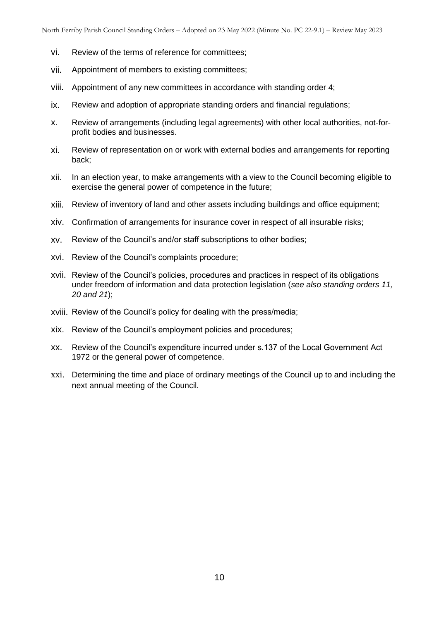- vi. Review of the terms of reference for committees;
- vii. Appointment of members to existing committees;
- viii. Appointment of any new committees in accordance with standing order 4;
- ix. Review and adoption of appropriate standing orders and financial regulations;
- x. Review of arrangements (including legal agreements) with other local authorities, not-forprofit bodies and businesses.
- xi. Review of representation on or work with external bodies and arrangements for reporting back;
- xii. In an election year, to make arrangements with a view to the Council becoming eligible to exercise the general power of competence in the future;
- xiii. Review of inventory of land and other assets including buildings and office equipment;
- xiv. Confirmation of arrangements for insurance cover in respect of all insurable risks;
- xv. Review of the Council's and/or staff subscriptions to other bodies;
- xvi. Review of the Council's complaints procedure;
- xvii. Review of the Council's policies, procedures and practices in respect of its obligations under freedom of information and data protection legislation (*see also standing orders 11, 20 and 21*);
- xviii. Review of the Council's policy for dealing with the press/media;
- xix. Review of the Council's employment policies and procedures;
- xx. Review of the Council's expenditure incurred under s.137 of the Local Government Act 1972 or the general power of competence.
- xxi. Determining the time and place of ordinary meetings of the Council up to and including the next annual meeting of the Council.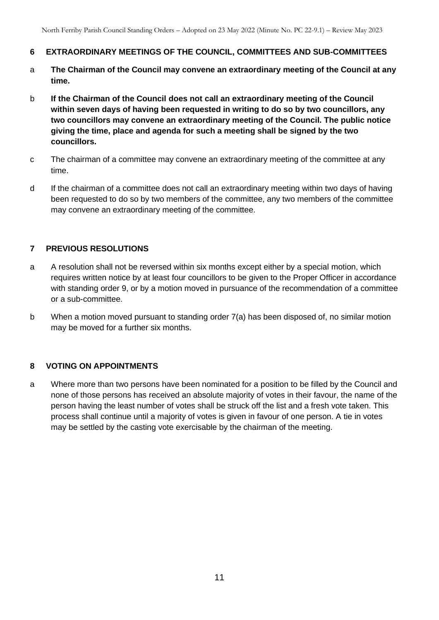- **6 EXTRAORDINARY MEETINGS OF THE COUNCIL, COMMITTEES AND SUB-COMMITTEES**
- a **The Chairman of the Council may convene an extraordinary meeting of the Council at any time.**
- b **If the Chairman of the Council does not call an extraordinary meeting of the Council within seven days of having been requested in writing to do so by two councillors, any two councillors may convene an extraordinary meeting of the Council. The public notice giving the time, place and agenda for such a meeting shall be signed by the two councillors.**
- c The chairman of a committee may convene an extraordinary meeting of the committee at any time.
- d If the chairman of a committee does not call an extraordinary meeting within two days of having been requested to do so by two members of the committee, any two members of the committee may convene an extraordinary meeting of the committee.

## **7 PREVIOUS RESOLUTIONS**

- a A resolution shall not be reversed within six months except either by a special motion, which requires written notice by at least four councillors to be given to the Proper Officer in accordance with standing order 9, or by a motion moved in pursuance of the recommendation of a committee or a sub-committee.
- b When a motion moved pursuant to standing order 7(a) has been disposed of, no similar motion may be moved for a further six months.

## **8 VOTING ON APPOINTMENTS**

a Where more than two persons have been nominated for a position to be filled by the Council and none of those persons has received an absolute majority of votes in their favour, the name of the person having the least number of votes shall be struck off the list and a fresh vote taken. This process shall continue until a majority of votes is given in favour of one person. A tie in votes may be settled by the casting vote exercisable by the chairman of the meeting.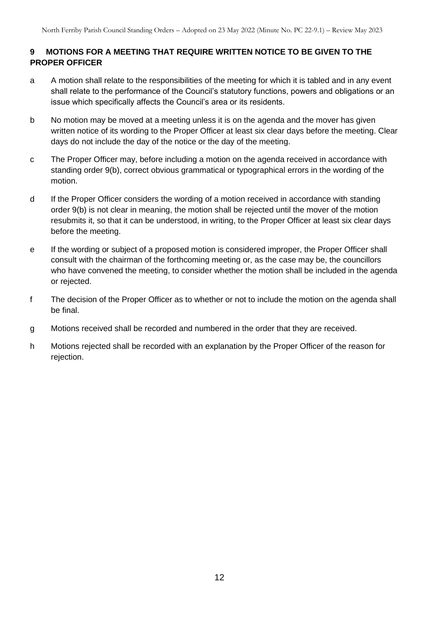## **9 MOTIONS FOR A MEETING THAT REQUIRE WRITTEN NOTICE TO BE GIVEN TO THE PROPER OFFICER**

- a A motion shall relate to the responsibilities of the meeting for which it is tabled and in any event shall relate to the performance of the Council's statutory functions, powers and obligations or an issue which specifically affects the Council's area or its residents.
- b No motion may be moved at a meeting unless it is on the agenda and the mover has given written notice of its wording to the Proper Officer at least six clear days before the meeting. Clear days do not include the day of the notice or the day of the meeting.
- c The Proper Officer may, before including a motion on the agenda received in accordance with standing order 9(b), correct obvious grammatical or typographical errors in the wording of the motion.
- d If the Proper Officer considers the wording of a motion received in accordance with standing order 9(b) is not clear in meaning, the motion shall be rejected until the mover of the motion resubmits it, so that it can be understood, in writing, to the Proper Officer at least six clear days before the meeting.
- e If the wording or subject of a proposed motion is considered improper, the Proper Officer shall consult with the chairman of the forthcoming meeting or, as the case may be, the councillors who have convened the meeting, to consider whether the motion shall be included in the agenda or rejected.
- f The decision of the Proper Officer as to whether or not to include the motion on the agenda shall be final.
- g Motions received shall be recorded and numbered in the order that they are received.
- h Motions rejected shall be recorded with an explanation by the Proper Officer of the reason for rejection.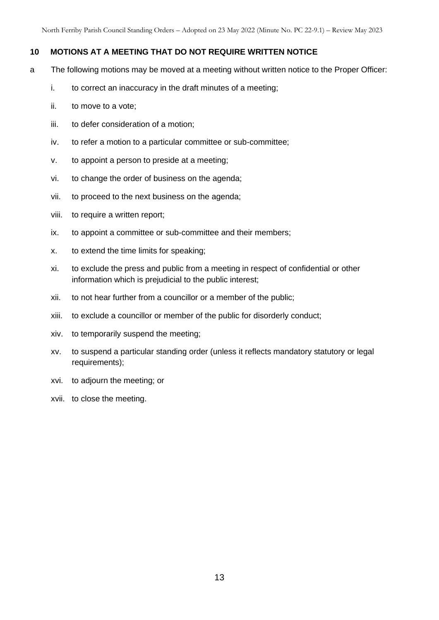#### **10 MOTIONS AT A MEETING THAT DO NOT REQUIRE WRITTEN NOTICE**

- a The following motions may be moved at a meeting without written notice to the Proper Officer:
	- i. to correct an inaccuracy in the draft minutes of a meeting;
	- ii. to move to a vote;
	- iii. to defer consideration of a motion;
	- iv. to refer a motion to a particular committee or sub-committee;
	- v. to appoint a person to preside at a meeting;
	- vi. to change the order of business on the agenda;
	- vii. to proceed to the next business on the agenda;
	- viii. to require a written report;
	- ix. to appoint a committee or sub-committee and their members;
	- x. to extend the time limits for speaking;
	- xi. to exclude the press and public from a meeting in respect of confidential or other information which is prejudicial to the public interest;
	- xii. to not hear further from a councillor or a member of the public;
	- xiii. to exclude a councillor or member of the public for disorderly conduct;
	- xiv. to temporarily suspend the meeting;
	- xv. to suspend a particular standing order (unless it reflects mandatory statutory or legal requirements);
	- xvi. to adjourn the meeting; or
	- xvii. to close the meeting.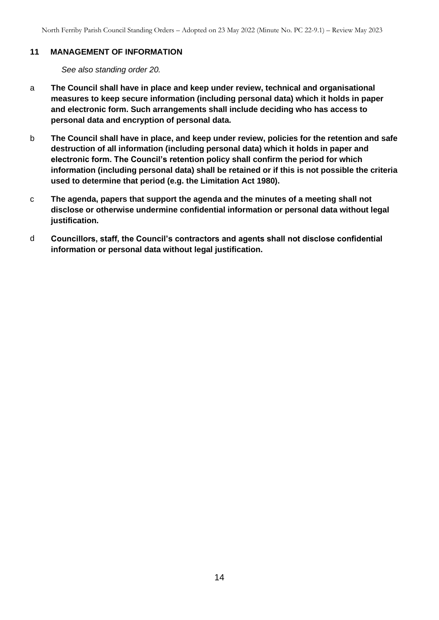#### **11 MANAGEMENT OF INFORMATION**

*See also standing order 20.*

- a **The Council shall have in place and keep under review, technical and organisational measures to keep secure information (including personal data) which it holds in paper and electronic form. Such arrangements shall include deciding who has access to personal data and encryption of personal data.**
- b **The Council shall have in place, and keep under review, policies for the retention and safe destruction of all information (including personal data) which it holds in paper and electronic form. The Council's retention policy shall confirm the period for which information (including personal data) shall be retained or if this is not possible the criteria used to determine that period (e.g. the Limitation Act 1980).**
- c **The agenda, papers that support the agenda and the minutes of a meeting shall not disclose or otherwise undermine confidential information or personal data without legal justification.**
- d **Councillors, staff, the Council's contractors and agents shall not disclose confidential information or personal data without legal justification.**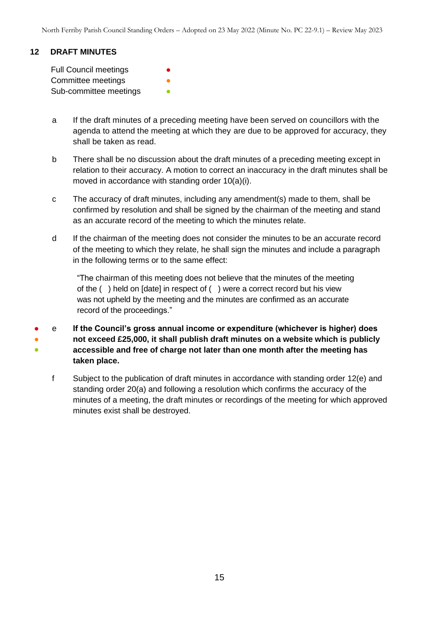## **12 DRAFT MINUTES**

Full Council meetings Committee meetings Sub-committee meetings

- a If the draft minutes of a preceding meeting have been served on councillors with the agenda to attend the meeting at which they are due to be approved for accuracy, they shall be taken as read.
- b There shall be no discussion about the draft minutes of a preceding meeting except in relation to their accuracy. A motion to correct an inaccuracy in the draft minutes shall be moved in accordance with standing order 10(a)(i).
- c The accuracy of draft minutes, including any amendment(s) made to them, shall be confirmed by resolution and shall be signed by the chairman of the meeting and stand as an accurate record of the meeting to which the minutes relate.
- d If the chairman of the meeting does not consider the minutes to be an accurate record of the meeting to which they relate, he shall sign the minutes and include a paragraph in the following terms or to the same effect:

"The chairman of this meeting does not believe that the minutes of the meeting of the ( ) held on [date] in respect of ( ) were a correct record but his view was not upheld by the meeting and the minutes are confirmed as an accurate record of the proceedings."

- ● ● e **If the Council's gross annual income or expenditure (whichever is higher) does not exceed £25,000, it shall publish draft minutes on a website which is publicly accessible and free of charge not later than one month after the meeting has taken place.**
	- f Subject to the publication of draft minutes in accordance with standing order 12(e) and standing order 20(a) and following a resolution which confirms the accuracy of the minutes of a meeting, the draft minutes or recordings of the meeting for which approved minutes exist shall be destroyed.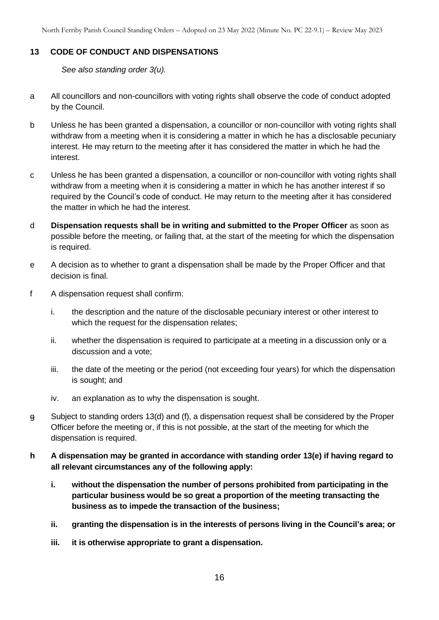#### **13 CODE OF CONDUCT AND DISPENSATIONS**

*See also standing order 3(u).* 

- a All councillors and non-councillors with voting rights shall observe the code of conduct adopted by the Council.
- b Unless he has been granted a dispensation, a councillor or non-councillor with voting rights shall withdraw from a meeting when it is considering a matter in which he has a disclosable pecuniary interest. He may return to the meeting after it has considered the matter in which he had the interest.
- c Unless he has been granted a dispensation, a councillor or non-councillor with voting rights shall withdraw from a meeting when it is considering a matter in which he has another interest if so required by the Council's code of conduct. He may return to the meeting after it has considered the matter in which he had the interest.
- d **Dispensation requests shall be in writing and submitted to the Proper Officer** as soon as possible before the meeting, or failing that, at the start of the meeting for which the dispensation is required.
- e A decision as to whether to grant a dispensation shall be made by the Proper Officer and that decision is final.
- f A dispensation request shall confirm:
	- i. the description and the nature of the disclosable pecuniary interest or other interest to which the request for the dispensation relates;
	- ii. whether the dispensation is required to participate at a meeting in a discussion only or a discussion and a vote;
	- iii. the date of the meeting or the period (not exceeding four years) for which the dispensation is sought; and
	- iv. an explanation as to why the dispensation is sought.
- g Subject to standing orders 13(d) and (f), a dispensation request shall be considered by the Proper Officer before the meeting or, if this is not possible, at the start of the meeting for which the dispensation is required.
- **h A dispensation may be granted in accordance with standing order 13(e) if having regard to all relevant circumstances any of the following apply:**
	- **i. without the dispensation the number of persons prohibited from participating in the particular business would be so great a proportion of the meeting transacting the business as to impede the transaction of the business;**
	- **ii. granting the dispensation is in the interests of persons living in the Council's area; or**
	- **iii. it is otherwise appropriate to grant a dispensation.**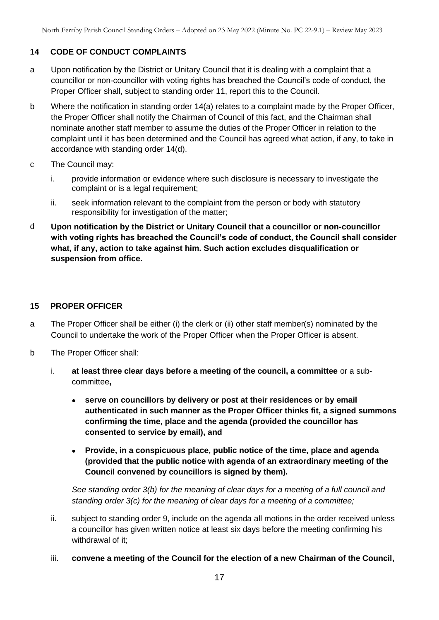## **14 CODE OF CONDUCT COMPLAINTS**

- a Upon notification by the District or Unitary Council that it is dealing with a complaint that a councillor or non-councillor with voting rights has breached the Council's code of conduct, the Proper Officer shall, subject to standing order 11, report this to the Council.
- b Where the notification in standing order 14(a) relates to a complaint made by the Proper Officer, the Proper Officer shall notify the Chairman of Council of this fact, and the Chairman shall nominate another staff member to assume the duties of the Proper Officer in relation to the complaint until it has been determined and the Council has agreed what action, if any, to take in accordance with standing order 14(d).
- c The Council may:
	- i. provide information or evidence where such disclosure is necessary to investigate the complaint or is a legal requirement;
	- ii. seek information relevant to the complaint from the person or body with statutory responsibility for investigation of the matter;
- d **Upon notification by the District or Unitary Council that a councillor or non-councillor with voting rights has breached the Council's code of conduct, the Council shall consider what, if any, action to take against him. Such action excludes disqualification or suspension from office.**

#### **15 PROPER OFFICER**

- a The Proper Officer shall be either (i) the clerk or (ii) other staff member(s) nominated by the Council to undertake the work of the Proper Officer when the Proper Officer is absent.
- b The Proper Officer shall:
	- i. **at least three clear days before a meeting of the council, a committee** or a subcommittee**,**
		- **serve on councillors by delivery or post at their residences or by email authenticated in such manner as the Proper Officer thinks fit, a signed summons confirming the time, place and the agenda (provided the councillor has consented to service by email), and**
		- **Provide, in a conspicuous place, public notice of the time, place and agenda (provided that the public notice with agenda of an extraordinary meeting of the Council convened by councillors is signed by them).**

*See standing order 3(b) for the meaning of clear days for a meeting of a full council and standing order 3(c) for the meaning of clear days for a meeting of a committee;*

- ii. subject to standing order 9, include on the agenda all motions in the order received unless a councillor has given written notice at least six days before the meeting confirming his withdrawal of it;
- iii. **convene a meeting of the Council for the election of a new Chairman of the Council,**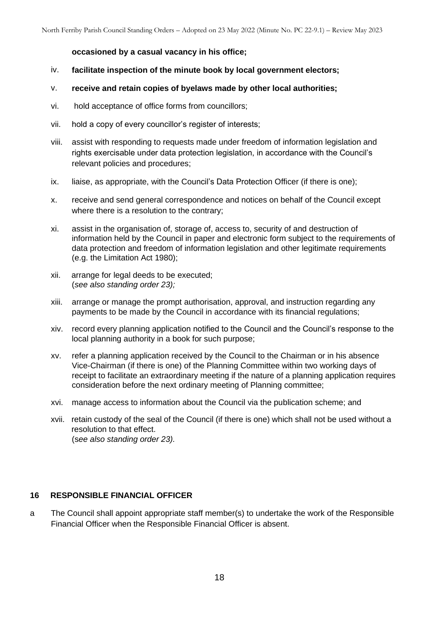#### **occasioned by a casual vacancy in his office;**

- iv. **facilitate inspection of the minute book by local government electors;**
- v. **receive and retain copies of byelaws made by other local authorities;**
- vi. hold acceptance of office forms from councillors;
- vii. hold a copy of every councillor's register of interests;
- viii. assist with responding to requests made under freedom of information legislation and rights exercisable under data protection legislation, in accordance with the Council's relevant policies and procedures;
- ix. liaise, as appropriate, with the Council's Data Protection Officer (if there is one);
- x. receive and send general correspondence and notices on behalf of the Council except where there is a resolution to the contrary:
- xi. assist in the organisation of, storage of, access to, security of and destruction of information held by the Council in paper and electronic form subject to the requirements of data protection and freedom of information legislation and other legitimate requirements (e.g. the Limitation Act 1980);
- xii. arrange for legal deeds to be executed; (*see also standing order 23);*
- xiii. arrange or manage the prompt authorisation, approval, and instruction regarding any payments to be made by the Council in accordance with its financial regulations;
- xiv. record every planning application notified to the Council and the Council's response to the local planning authority in a book for such purpose;
- xv. refer a planning application received by the Council to the Chairman or in his absence Vice-Chairman (if there is one) of the Planning Committee within two working days of receipt to facilitate an extraordinary meeting if the nature of a planning application requires consideration before the next ordinary meeting of Planning committee;
- xvi. manage access to information about the Council via the publication scheme; and
- xvii. retain custody of the seal of the Council (if there is one) which shall not be used without a resolution to that effect. (s*ee also standing order 23).*

#### **16 RESPONSIBLE FINANCIAL OFFICER**

a The Council shall appoint appropriate staff member(s) to undertake the work of the Responsible Financial Officer when the Responsible Financial Officer is absent.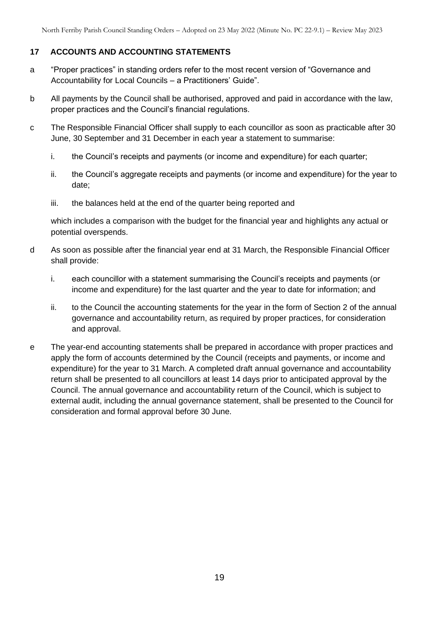## **17 ACCOUNTS AND ACCOUNTING STATEMENTS**

- a "Proper practices" in standing orders refer to the most recent version of "Governance and Accountability for Local Councils – a Practitioners' Guide".
- b All payments by the Council shall be authorised, approved and paid in accordance with the law, proper practices and the Council's financial regulations.
- c The Responsible Financial Officer shall supply to each councillor as soon as practicable after 30 June, 30 September and 31 December in each year a statement to summarise:
	- i. the Council's receipts and payments (or income and expenditure) for each quarter;
	- ii. the Council's aggregate receipts and payments (or income and expenditure) for the year to date;
	- iii. the balances held at the end of the quarter being reported and

which includes a comparison with the budget for the financial year and highlights any actual or potential overspends.

- d As soon as possible after the financial year end at 31 March, the Responsible Financial Officer shall provide:
	- i. each councillor with a statement summarising the Council's receipts and payments (or income and expenditure) for the last quarter and the year to date for information; and
	- ii. to the Council the accounting statements for the year in the form of Section 2 of the annual governance and accountability return, as required by proper practices, for consideration and approval.
- e The year-end accounting statements shall be prepared in accordance with proper practices and apply the form of accounts determined by the Council (receipts and payments, or income and expenditure) for the year to 31 March. A completed draft annual governance and accountability return shall be presented to all councillors at least 14 days prior to anticipated approval by the Council. The annual governance and accountability return of the Council, which is subject to external audit, including the annual governance statement, shall be presented to the Council for consideration and formal approval before 30 June.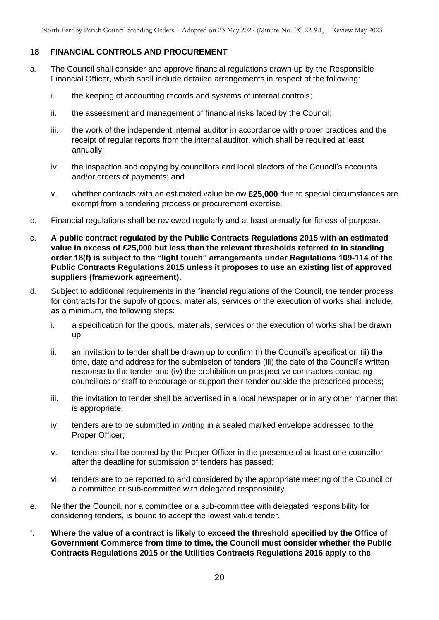## **18 FINANCIAL CONTROLS AND PROCUREMENT**

- a. The Council shall consider and approve financial regulations drawn up by the Responsible Financial Officer, which shall include detailed arrangements in respect of the following:
	- i. the keeping of accounting records and systems of internal controls;
	- ii. the assessment and management of financial risks faced by the Council;
	- iii. the work of the independent internal auditor in accordance with proper practices and the receipt of regular reports from the internal auditor, which shall be required at least annually;
	- iv. the inspection and copying by councillors and local electors of the Council's accounts and/or orders of payments; and
	- v. whether contracts with an estimated value below **£25,000** due to special circumstances are exempt from a tendering process or procurement exercise.
- b. Financial regulations shall be reviewed regularly and at least annually for fitness of purpose.
- c. **A public contract regulated by the Public Contracts Regulations 2015 with an estimated value in excess of £25,000 but less than the relevant thresholds referred to in standing order 18(f) is subject to the "light touch" arrangements under Regulations 109-114 of the Public Contracts Regulations 2015 unless it proposes to use an existing list of approved suppliers (framework agreement).**
- d. Subject to additional requirements in the financial regulations of the Council, the tender process for contracts for the supply of goods, materials, services or the execution of works shall include, as a minimum, the following steps:
	- i. a specification for the goods, materials, services or the execution of works shall be drawn up;
	- ii. an invitation to tender shall be drawn up to confirm (i) the Council's specification (ii) the time, date and address for the submission of tenders (iii) the date of the Council's written response to the tender and (iv) the prohibition on prospective contractors contacting councillors or staff to encourage or support their tender outside the prescribed process;
	- iii. the invitation to tender shall be advertised in a local newspaper or in any other manner that is appropriate;
	- iv. tenders are to be submitted in writing in a sealed marked envelope addressed to the Proper Officer;
	- v. tenders shall be opened by the Proper Officer in the presence of at least one councillor after the deadline for submission of tenders has passed;
	- vi. tenders are to be reported to and considered by the appropriate meeting of the Council or a committee or sub-committee with delegated responsibility.
- e. Neither the Council, nor a committee or a sub-committee with delegated responsibility for considering tenders, is bound to accept the lowest value tender.
- f. **Where the value of a contract is likely to exceed the threshold specified by the Office of Government Commerce from time to time, the Council must consider whether the Public Contracts Regulations 2015 or the Utilities Contracts Regulations 2016 apply to the**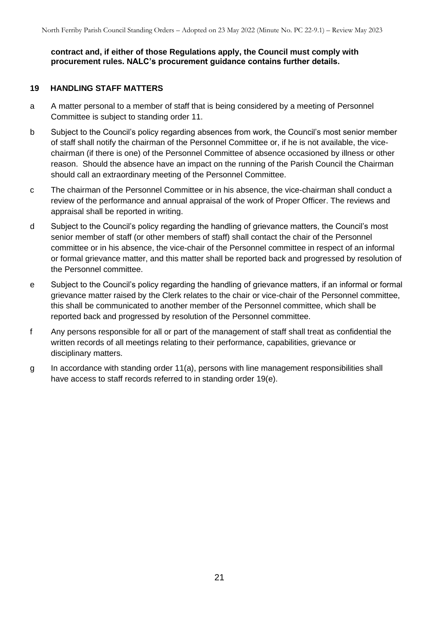**contract and, if either of those Regulations apply, the Council must comply with procurement rules. NALC's procurement guidance contains further details.** 

#### **19 HANDLING STAFF MATTERS**

- a A matter personal to a member of staff that is being considered by a meeting of Personnel Committee is subject to standing order 11.
- b Subject to the Council's policy regarding absences from work, the Council's most senior member of staff shall notify the chairman of the Personnel Committee or, if he is not available, the vicechairman (if there is one) of the Personnel Committee of absence occasioned by illness or other reason. Should the absence have an impact on the running of the Parish Council the Chairman should call an extraordinary meeting of the Personnel Committee.
- c The chairman of the Personnel Committee or in his absence, the vice-chairman shall conduct a review of the performance and annual appraisal of the work of Proper Officer. The reviews and appraisal shall be reported in writing.
- d Subject to the Council's policy regarding the handling of grievance matters, the Council's most senior member of staff (or other members of staff) shall contact the chair of the Personnel committee or in his absence, the vice-chair of the Personnel committee in respect of an informal or formal grievance matter, and this matter shall be reported back and progressed by resolution of the Personnel committee.
- e Subject to the Council's policy regarding the handling of grievance matters, if an informal or formal grievance matter raised by the Clerk relates to the chair or vice-chair of the Personnel committee, this shall be communicated to another member of the Personnel committee, which shall be reported back and progressed by resolution of the Personnel committee.
- f Any persons responsible for all or part of the management of staff shall treat as confidential the written records of all meetings relating to their performance, capabilities, grievance or disciplinary matters.
- g In accordance with standing order 11(a), persons with line management responsibilities shall have access to staff records referred to in standing order 19(e).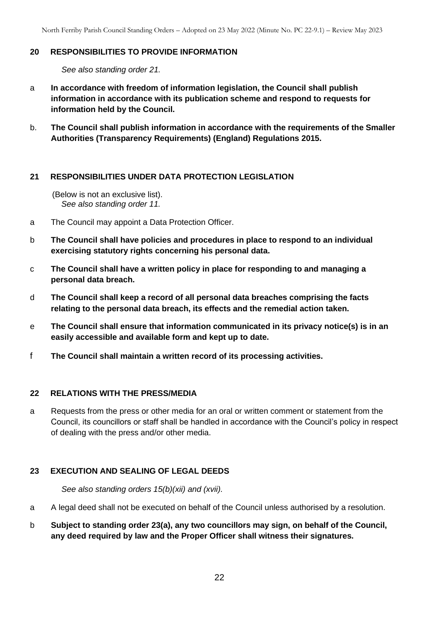#### **20 RESPONSIBILITIES TO PROVIDE INFORMATION**

*See also standing order 21.*

- a **In accordance with freedom of information legislation, the Council shall publish information in accordance with its publication scheme and respond to requests for information held by the Council.**
- b. **The Council shall publish information in accordance with the requirements of the Smaller Authorities (Transparency Requirements) (England) Regulations 2015.**

#### **21 RESPONSIBILITIES UNDER DATA PROTECTION LEGISLATION**

(Below is not an exclusive list). *See also standing order 11.*

- a The Council may appoint a Data Protection Officer.
- b **The Council shall have policies and procedures in place to respond to an individual exercising statutory rights concerning his personal data.**
- c **The Council shall have a written policy in place for responding to and managing a personal data breach.**
- d **The Council shall keep a record of all personal data breaches comprising the facts relating to the personal data breach, its effects and the remedial action taken.**
- e **The Council shall ensure that information communicated in its privacy notice(s) is in an easily accessible and available form and kept up to date.**
- f **The Council shall maintain a written record of its processing activities.**

#### **22 RELATIONS WITH THE PRESS/MEDIA**

a Requests from the press or other media for an oral or written comment or statement from the Council, its councillors or staff shall be handled in accordance with the Council's policy in respect of dealing with the press and/or other media.

## **23 EXECUTION AND SEALING OF LEGAL DEEDS**

*See also standing orders 15(b)(xii) and (xvii).*

- a A legal deed shall not be executed on behalf of the Council unless authorised by a resolution.
- b **Subject to standing order 23(a), any two councillors may sign, on behalf of the Council, any deed required by law and the Proper Officer shall witness their signatures.**